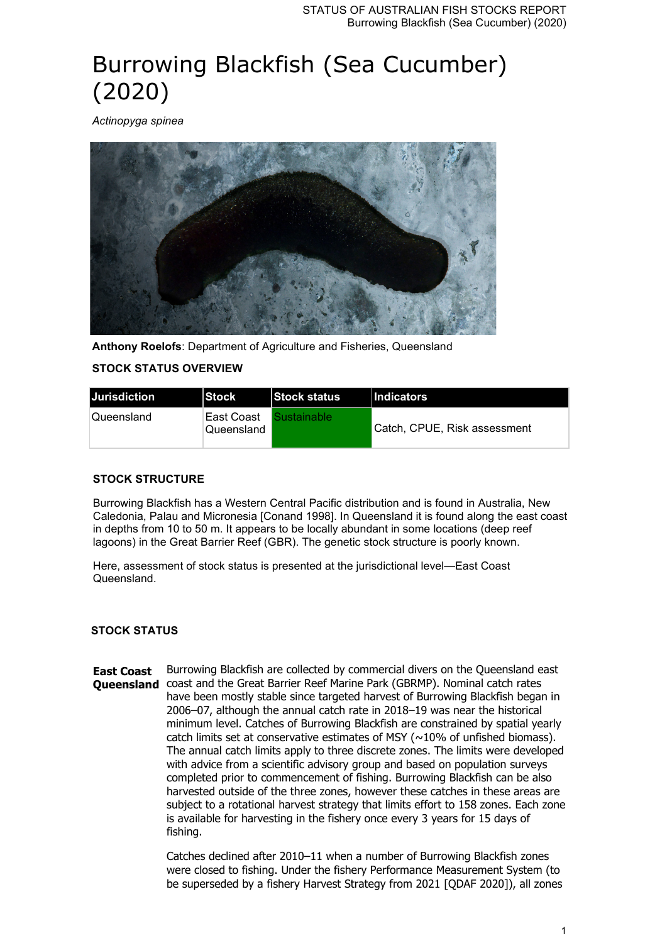# Burrowing Blackfish (Sea Cucumber) (2020)

*Actinopyga spinea*



**Anthony Roelofs**: Department of Agriculture and Fisheries, Queensland **STOCK STATUS OVERVIEW**

| <b>IJurisdiction</b> | <b>Stock</b>              | Stock status       | <b>Indicators</b>            |
|----------------------|---------------------------|--------------------|------------------------------|
| Queensland_          | ∣East Coast<br>Queensland | <b>Sustainable</b> | Catch. CPUE. Risk assessment |

## **STOCK STRUCTURE**

Burrowing Blackfish has a Western Central Pacific distribution and is found in Australia, New Caledonia, Palau and Micronesia [Conand 1998]. In Queensland it is found along the east coast in depths from 10 to 50 m. It appears to be locally abundant in some locations (deep reef lagoons) in the Great Barrier Reef (GBR). The genetic stock structure is poorly known.

Here, assessment of stock status is presented at the jurisdictional level—East Coast Queensland.

## **STOCK STATUS**

**East Coast Queensland** coast and the Great Barrier Reef Marine Park (GBRMP). Nominal catch rates Burrowing Blackfish are collected by commercial divers on the Queensland east have been mostly stable since targeted harvest of Burrowing Blackfish began in 2006–07, although the annual catch rate in 2018–19 was near the historical minimum level. Catches of Burrowing Blackfish are constrained by spatial yearly catch limits set at conservative estimates of MSY ( $\sim$ 10% of unfished biomass). The annual catch limits apply to three discrete zones. The limits were developed with advice from a scientific advisory group and based on population surveys completed prior to commencement of fishing. Burrowing Blackfish can be also harvested outside of the three zones, however these catches in these areas are subject to a rotational harvest strategy that limits effort to 158 zones. Each zone is available for harvesting in the fishery once every 3 years for 15 days of fishing.

> Catches declined after 2010–11 when a number of Burrowing Blackfish zones were closed to fishing. Under the fishery Performance Measurement System (to be superseded by a fishery Harvest Strategy from 2021 [QDAF 2020]), all zones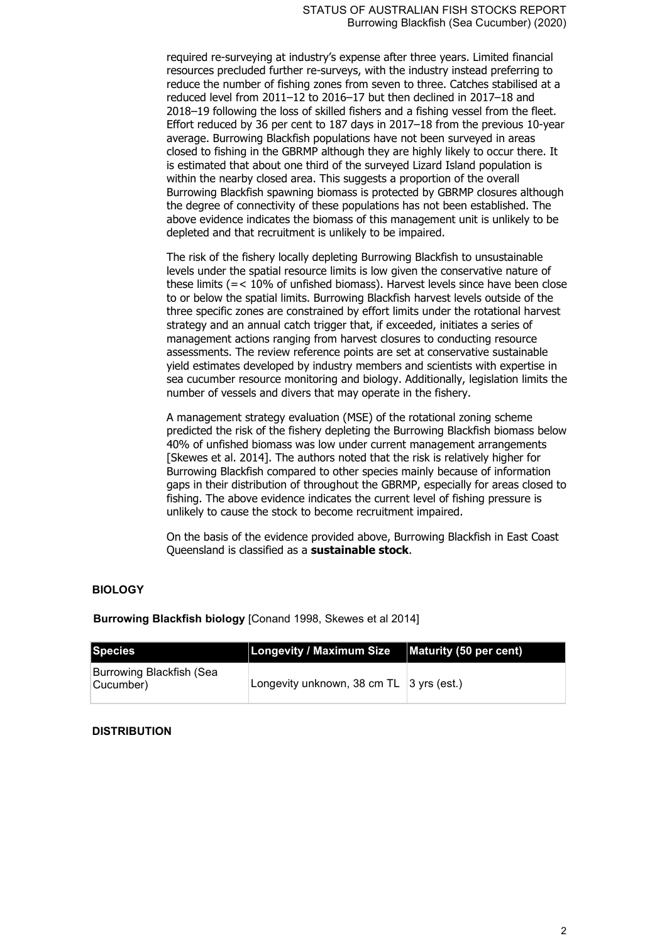required re-surveying at industry's expense after three years. Limited financial resources precluded further re-surveys, with the industry instead preferring to reduce the number of fishing zones from seven to three. Catches stabilised at a reduced level from 2011–12 to 2016–17 but then declined in 2017–18 and 2018–19 following the loss of skilled fishers and a fishing vessel from the fleet. Effort reduced by 36 per cent to 187 days in 2017–18 from the previous 10-year average. Burrowing Blackfish populations have not been surveyed in areas closed to fishing in the GBRMP although they are highly likely to occur there. It is estimated that about one third of the surveyed Lizard Island population is within the nearby closed area. This suggests a proportion of the overall Burrowing Blackfish spawning biomass is protected by GBRMP closures although the degree of connectivity of these populations has not been established. The above evidence indicates the biomass of this management unit is unlikely to be depleted and that recruitment is unlikely to be impaired.

The risk of the fishery locally depleting Burrowing Blackfish to unsustainable levels under the spatial resource limits is low given the conservative nature of these limits (=< 10% of unfished biomass). Harvest levels since have been close to or below the spatial limits. Burrowing Blackfish harvest levels outside of the three specific zones are constrained by effort limits under the rotational harvest strategy and an annual catch trigger that, if exceeded, initiates a series of management actions ranging from harvest closures to conducting resource assessments. The review reference points are set at conservative sustainable yield estimates developed by industry members and scientists with expertise in sea cucumber resource monitoring and biology. Additionally, legislation limits the number of vessels and divers that may operate in the fishery.

A management strategy evaluation (MSE) of the rotational zoning scheme predicted the risk of the fishery depleting the Burrowing Blackfish biomass below 40% of unfished biomass was low under current management arrangements [Skewes et al. 2014]. The authors noted that the risk is relatively higher for Burrowing Blackfish compared to other species mainly because of information gaps in their distribution of throughout the GBRMP, especially for areas closed to fishing. The above evidence indicates the current level of fishing pressure is unlikely to cause the stock to become recruitment impaired.

On the basis of the evidence provided above, Burrowing Blackfish in East Coast Queensland is classified as a **sustainable stock**.

#### **BIOLOGY**

**Burrowing Blackfish biology** [Conand 1998, Skewes et al 2014]

| Species                               | <b>Longevity / Maximum Size</b>            | Maturity (50 per cent) |
|---------------------------------------|--------------------------------------------|------------------------|
| Burrowing Blackfish (Sea<br>Cucumber) | Longevity unknown, 38 cm $TL$ 3 yrs (est.) |                        |

#### **DISTRIBUTION**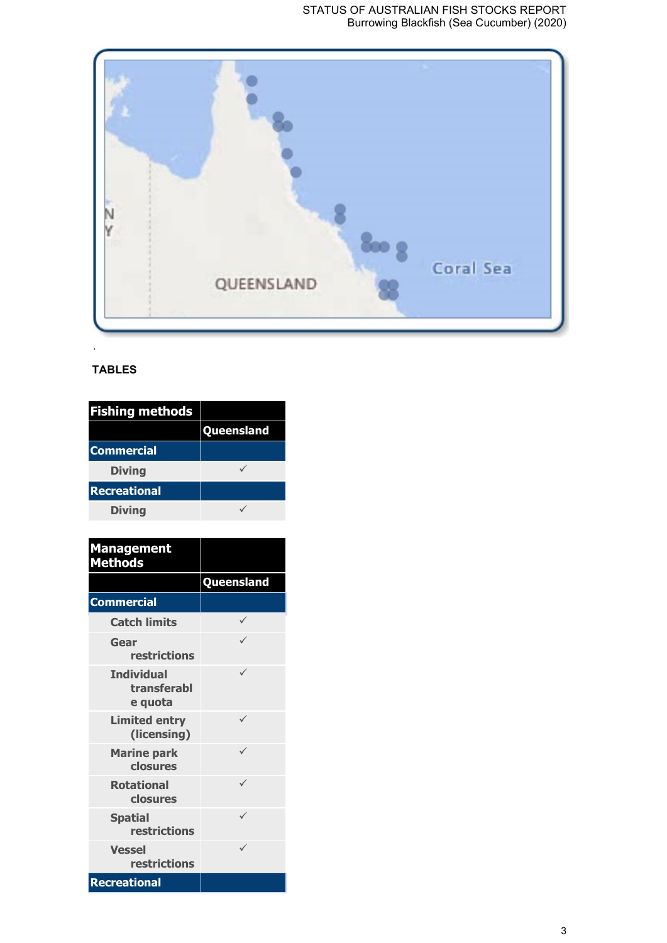

# **TABLES**

| <b>Fishing methods</b> |            |
|------------------------|------------|
|                        | Queensland |
| <b>Commercial</b>      |            |
| <b>Diving</b>          |            |
| <b>Recreational</b>    |            |
| <b>Diving</b>          |            |

| <b>Management</b><br><b>Methods</b>         |                   |
|---------------------------------------------|-------------------|
|                                             | <b>Queensland</b> |
| <b>Commercial</b>                           |                   |
| <b>Catch limits</b>                         | ✓                 |
| Gear<br>restrictions                        |                   |
| <b>Individual</b><br>transferabl<br>e quota |                   |
| <b>Limited entry</b><br>(licensing)         | ✓                 |
| <b>Marine park</b><br>closures              |                   |
| <b>Rotational</b><br>closures               |                   |
| <b>Spatial</b><br><b>restrictions</b>       |                   |
| <b>Vessel</b><br>restrictions               |                   |
| <b>Recreational</b>                         |                   |